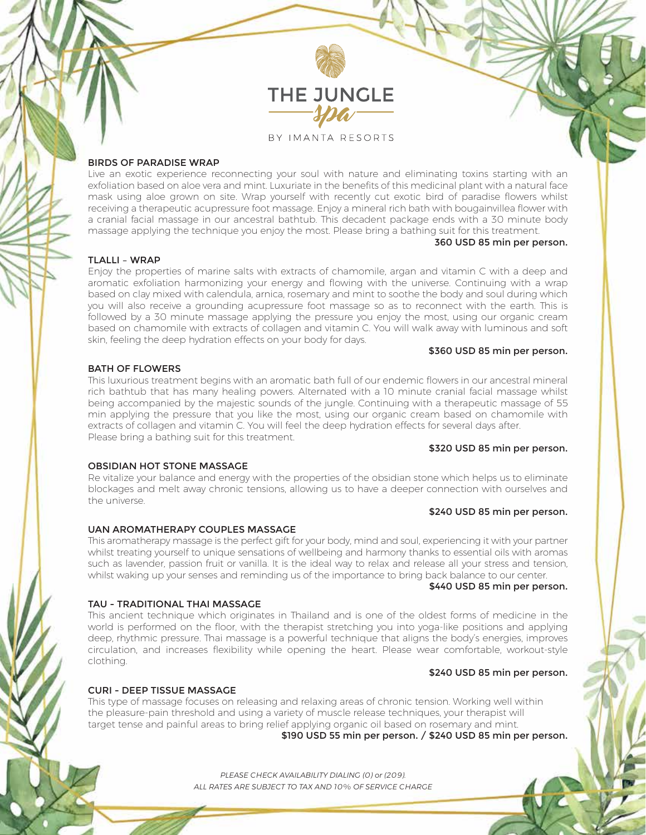

### BY IMANTA RESORTS

## BIRDS OF PARADISE WRAP

Live an exotic experience reconnecting your soul with nature and eliminating toxins starting with an exfoliation based on aloe vera and mint. Luxuriate in the benefits of this medicinal plant with a natural face mask using aloe grown on site. Wrap yourself with recently cut exotic bird of paradise flowers whilst receiving a therapeutic acupressure foot massage. Enjoy a mineral rich bath with bougainvillea flower with a cranial facial massage in our ancestral bathtub. This decadent package ends with a 30 minute body massage applying the technique you enjoy the most. Please bring a bathing suit for this treatment.

#### 360 USD 85 min per person.

# TLALLI – WRAP

Enjoy the properties of marine salts with extracts of chamomile, argan and vitamin C with a deep and aromatic exfoliation harmonizing your energy and flowing with the universe. Continuing with a wrap based on clay mixed with calendula, arnica, rosemary and mint to soothe the body and soul during which you will also receive a grounding acupressure foot massage so as to reconnect with the earth. This is followed by a 30 minute massage applying the pressure you enjoy the most, using our organic cream based on chamomile with extracts of collagen and vitamin C. You will walk away with luminous and soft skin, feeling the deep hydration effects on your body for days.

### \$360 USD 85 min per person.

### BATH OF FLOWERS

This luxurious treatment begins with an aromatic bath full of our endemic flowers in our ancestral mineral rich bathtub that has many healing powers. Alternated with a 10 minute cranial facial massage whilst being accompanied by the majestic sounds of the jungle. Continuing with a therapeutic massage of 55 min applying the pressure that you like the most, using our organic cream based on chamomile with extracts of collagen and vitamin C. You will feel the deep hydration effects for several days after. Please bring a bathing suit for this treatment.

### \$320 USD 85 min per person.

#### OBSIDIAN HOT STONE MASSAGE

Re vitalize your balance and energy with the properties of the obsidian stone which helps us to eliminate blockages and melt away chronic tensions, allowing us to have a deeper connection with ourselves and the universe.

#### \$240 USD 85 min per person.

### UAN AROMATHERAPY COUPLES MASSAGE

This aromatherapy massage is the perfect gift for your body, mind and soul, experiencing it with your partner whilst treating yourself to unique sensations of wellbeing and harmony thanks to essential oils with aromas such as lavender, passion fruit or vanilla. It is the ideal way to relax and release all your stress and tension, whilst waking up your senses and reminding us of the importance to bring back balance to our center.

#### \$440 USD 85 min per person.

#### TAU - TRADITIONAL THAI MASSAGE

This ancient technique which originates in Thailand and is one of the oldest forms of medicine in the world is performed on the floor, with the therapist stretching you into yoga-like positions and applying deep, rhythmic pressure. Thai massage is a powerful technique that aligns the body's energies, improves circulation, and increases flexibility while opening the heart. Please wear comfortable, workout-style clothing.

# \$240 USD 85 min per person.

## CURI - DEEP TISSUE MASSAGE

This type of massage focuses on releasing and relaxing areas of chronic tension. Working well within the pleasure-pain threshold and using a variety of muscle release techniques, your therapist will target tense and painful areas to bring relief applying organic oil based on rosemary and mint.

\$190 USD 55 min per person. / \$240 USD 85 min per person.

*PLEASE CHECK AVAILABILITY DIALING (0) or (209). ALL RATES ARE SUBJECT TO TAX AND 10% OF SERVICE CHARGE*